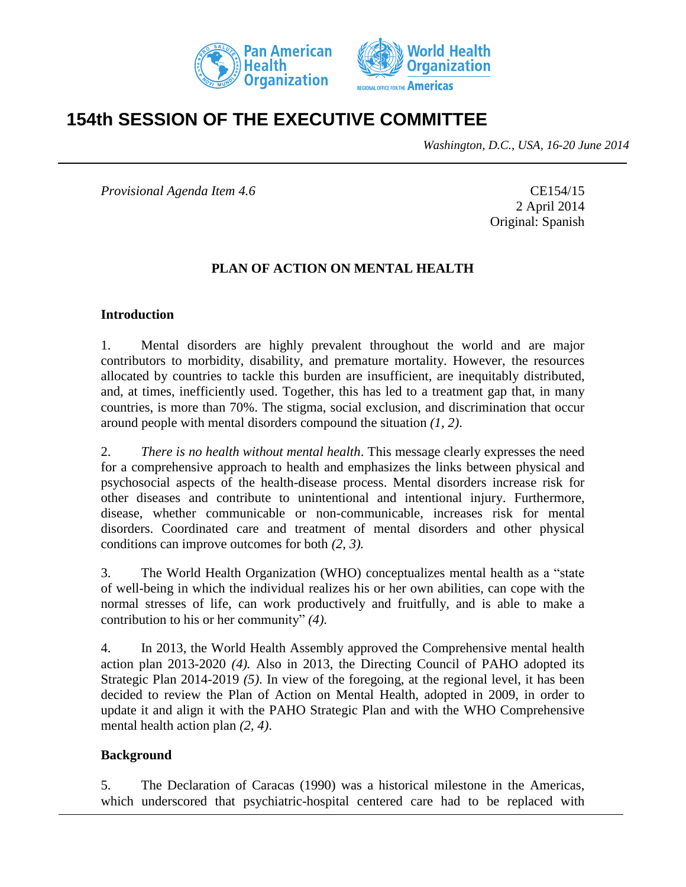



# **154th SESSION OF THE EXECUTIVE COMMITTEE**

*Washington, D.C., USA, 16-20 June 2014*

*Provisional Agenda Item 4.6* CE154/15

2 April 2014 Original: Spanish

#### **PLAN OF ACTION ON MENTAL HEALTH**

#### **Introduction**

1. Mental disorders are highly prevalent throughout the world and are major contributors to morbidity, disability, and premature mortality. However, the resources allocated by countries to tackle this burden are insufficient, are inequitably distributed, and, at times, inefficiently used. Together, this has led to a treatment gap that, in many countries, is more than 70%. The stigma, social exclusion, and discrimination that occur around people with mental disorders compound the situation *(1, 2)*.

2. *There is no health without mental health*. This message clearly expresses the need for a comprehensive approach to health and emphasizes the links between physical and psychosocial aspects of the health-disease process. Mental disorders increase risk for other diseases and contribute to unintentional and intentional injury. Furthermore, disease, whether communicable or non-communicable, increases risk for mental disorders. Coordinated care and treatment of mental disorders and other physical conditions can improve outcomes for both *(2, 3).* 

3. The World Health Organization (WHO) conceptualizes mental health as a "state of well-being in which the individual realizes his or her own abilities, can cope with the normal stresses of life, can work productively and fruitfully, and is able to make a contribution to his or her community" *(4).* 

4. In 2013, the World Health Assembly approved the Comprehensive mental health action plan 2013-2020 *(4).* Also in 2013, the Directing Council of PAHO adopted its Strategic Plan 2014-2019 *(5)*. In view of the foregoing, at the regional level, it has been decided to review the Plan of Action on Mental Health, adopted in 2009, in order to update it and align it with the PAHO Strategic Plan and with the WHO Comprehensive mental health action plan *(2, 4)*.

#### **Background**

5. The Declaration of Caracas (1990) was a historical milestone in the Americas, which underscored that psychiatric-hospital centered care had to be replaced with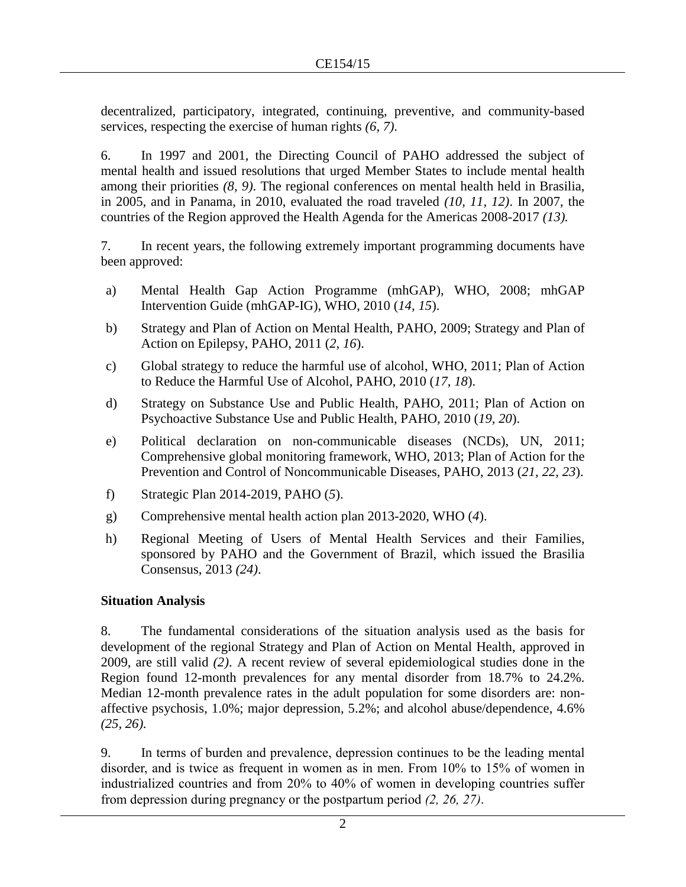decentralized, participatory, integrated, continuing, preventive, and community-based services, respecting the exercise of human rights *(6, 7)*.

6. In 1997 and 2001, the Directing Council of PAHO addressed the subject of mental health and issued resolutions that urged Member States to include mental health among their priorities *(8, 9)*. The regional conferences on mental health held in Brasilia, in 2005, and in Panama, in 2010, evaluated the road traveled *(10, 11, 12)*. In 2007, the countries of the Region approved the Health Agenda for the Americas 2008-2017 *(13).*

7. In recent years, the following extremely important programming documents have been approved:

- a) Mental Health Gap Action Programme (mhGAP), WHO, 2008; mhGAP Intervention Guide (mhGAP-IG), WHO, 2010 (*14, 15*).
- b) Strategy and Plan of Action on Mental Health, PAHO, 2009; Strategy and Plan of Action on Epilepsy, PAHO, 2011 (*2, 16*).
- c) Global strategy to reduce the harmful use of alcohol, WHO, 2011; Plan of Action to Reduce the Harmful Use of Alcohol, PAHO, 2010 (*17, 18*).
- d) Strategy on Substance Use and Public Health, PAHO, 2011; Plan of Action on Psychoactive Substance Use and Public Health, PAHO, 2010 (*19, 20*).
- e) Political declaration on non-communicable diseases (NCDs), UN, 2011; Comprehensive global monitoring framework, WHO, 2013; Plan of Action for the Prevention and Control of Noncommunicable Diseases, PAHO, 2013 (*21, 22, 23*).
- f) Strategic Plan 2014-2019, PAHO (*5*).
- g) Comprehensive mental health action plan 2013-2020, WHO (*4*).
- h) Regional Meeting of Users of Mental Health Services and their Families, sponsored by PAHO and the Government of Brazil, which issued the Brasilia Consensus, 2013 *(24)*.

## **Situation Analysis**

8. The fundamental considerations of the situation analysis used as the basis for development of the regional Strategy and Plan of Action on Mental Health, approved in 2009, are still valid *(2)*. A recent review of several epidemiological studies done in the Region found 12-month prevalences for any mental disorder from 18.7% to 24.2%. Median 12-month prevalence rates in the adult population for some disorders are: nonaffective psychosis, 1.0%; major depression, 5.2%; and alcohol abuse/dependence, 4.6% *(25, 26).* 

9. In terms of burden and prevalence, depression continues to be the leading mental disorder, and is twice as frequent in women as in men. From 10% to 15% of women in industrialized countries and from 20% to 40% of women in developing countries suffer from depression during pregnancy or the postpartum period *(2, 26, 27)*.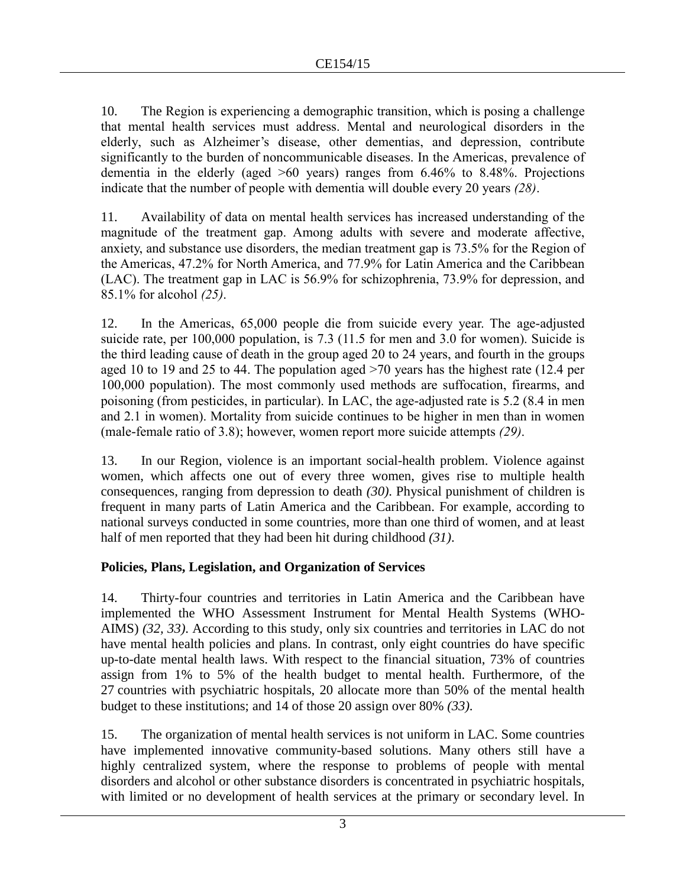10. The Region is experiencing a demographic transition, which is posing a challenge that mental health services must address. Mental and neurological disorders in the elderly, such as Alzheimer's disease, other dementias, and depression, contribute significantly to the burden of noncommunicable diseases. In the Americas, prevalence of dementia in the elderly (aged >60 years) ranges from 6.46% to 8.48%. Projections indicate that the number of people with dementia will double every 20 years *(28)*.

11. Availability of data on mental health services has increased understanding of the magnitude of the treatment gap. Among adults with severe and moderate affective, anxiety, and substance use disorders, the median treatment gap is 73.5% for the Region of the Americas, 47.2% for North America, and 77.9% for Latin America and the Caribbean (LAC). The treatment gap in LAC is 56.9% for schizophrenia, 73.9% for depression, and 85.1% for alcohol *(25)*.

12. In the Americas, 65,000 people die from suicide every year. The age-adjusted suicide rate, per 100,000 population, is 7.3 (11.5 for men and 3.0 for women). Suicide is the third leading cause of death in the group aged 20 to 24 years, and fourth in the groups aged 10 to 19 and 25 to 44. The population aged >70 years has the highest rate (12.4 per 100,000 population). The most commonly used methods are suffocation, firearms, and poisoning (from pesticides, in particular). In LAC, the age-adjusted rate is 5.2 (8.4 in men and 2.1 in women). Mortality from suicide continues to be higher in men than in women (male-female ratio of 3.8); however, women report more suicide attempts *(29)*.

13. In our Region, violence is an important social-health problem. Violence against women, which affects one out of every three women, gives rise to multiple health consequences, ranging from depression to death *(30)*. Physical punishment of children is frequent in many parts of Latin America and the Caribbean. For example, according to national surveys conducted in some countries, more than one third of women, and at least half of men reported that they had been hit during childhood *(31)*.

## **Policies, Plans, Legislation, and Organization of Services**

14. Thirty-four countries and territories in Latin America and the Caribbean have implemented the WHO Assessment Instrument for Mental Health Systems (WHO-AIMS) *(32, 33)*. According to this study, only six countries and territories in LAC do not have mental health policies and plans. In contrast, only eight countries do have specific up-to-date mental health laws. With respect to the financial situation, 73% of countries assign from 1% to 5% of the health budget to mental health. Furthermore, of the 27 countries with psychiatric hospitals, 20 allocate more than 50% of the mental health budget to these institutions; and 14 of those 20 assign over 80% *(33)*.

15. The organization of mental health services is not uniform in LAC. Some countries have implemented innovative community-based solutions. Many others still have a highly centralized system, where the response to problems of people with mental disorders and alcohol or other substance disorders is concentrated in psychiatric hospitals, with limited or no development of health services at the primary or secondary level. In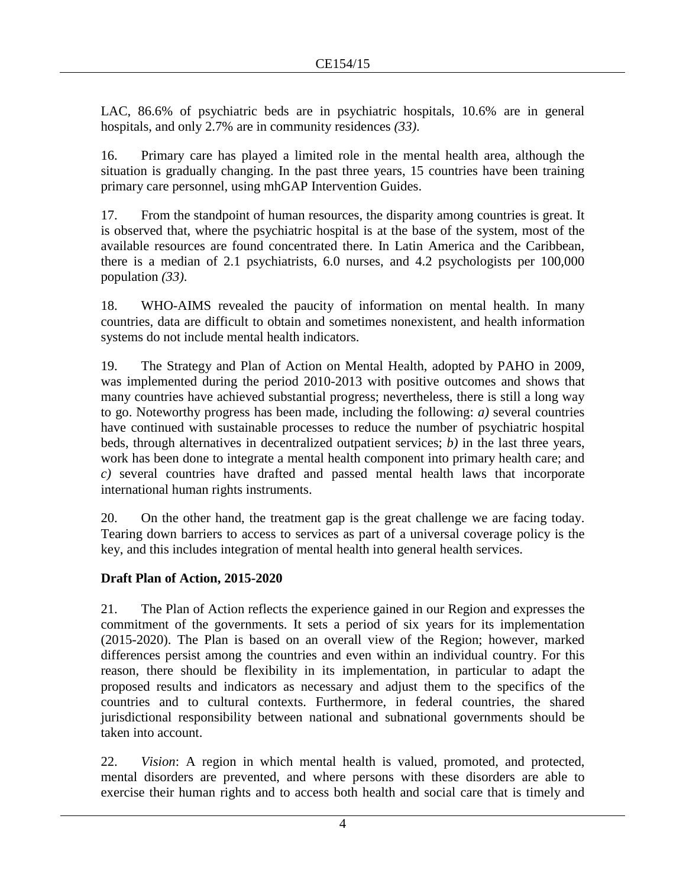LAC, 86.6% of psychiatric beds are in psychiatric hospitals, 10.6% are in general hospitals, and only 2.7% are in community residences *(33)*.

16. Primary care has played a limited role in the mental health area, although the situation is gradually changing. In the past three years, 15 countries have been training primary care personnel, using mhGAP Intervention Guides.

17. From the standpoint of human resources, the disparity among countries is great. It is observed that, where the psychiatric hospital is at the base of the system, most of the available resources are found concentrated there. In Latin America and the Caribbean, there is a median of 2.1 psychiatrists, 6.0 nurses, and 4.2 psychologists per 100,000 population *(33)*.

18. WHO-AIMS revealed the paucity of information on mental health. In many countries, data are difficult to obtain and sometimes nonexistent, and health information systems do not include mental health indicators.

19. The Strategy and Plan of Action on Mental Health, adopted by PAHO in 2009, was implemented during the period 2010-2013 with positive outcomes and shows that many countries have achieved substantial progress; nevertheless, there is still a long way to go. Noteworthy progress has been made, including the following: *a)* several countries have continued with sustainable processes to reduce the number of psychiatric hospital beds, through alternatives in decentralized outpatient services; *b)* in the last three years, work has been done to integrate a mental health component into primary health care; and *c)* several countries have drafted and passed mental health laws that incorporate international human rights instruments.

20. On the other hand, the treatment gap is the great challenge we are facing today. Tearing down barriers to access to services as part of a universal coverage policy is the key, and this includes integration of mental health into general health services.

## **Draft Plan of Action, 2015-2020**

21. The Plan of Action reflects the experience gained in our Region and expresses the commitment of the governments. It sets a period of six years for its implementation (2015-2020). The Plan is based on an overall view of the Region; however, marked differences persist among the countries and even within an individual country. For this reason, there should be flexibility in its implementation, in particular to adapt the proposed results and indicators as necessary and adjust them to the specifics of the countries and to cultural contexts. Furthermore, in federal countries, the shared jurisdictional responsibility between national and subnational governments should be taken into account.

22. *Vision*: A region in which mental health is valued, promoted, and protected, mental disorders are prevented, and where persons with these disorders are able to exercise their human rights and to access both health and social care that is timely and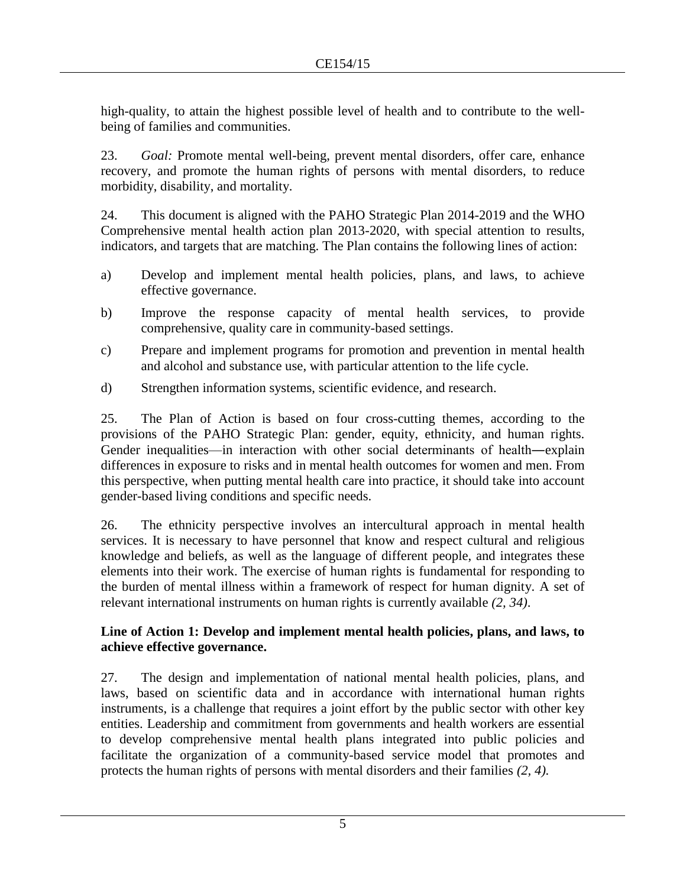high-quality, to attain the highest possible level of health and to contribute to the wellbeing of families and communities.

23. *Goal:* Promote mental well-being, prevent mental disorders, offer care, enhance recovery, and promote the human rights of persons with mental disorders, to reduce morbidity, disability, and mortality.

24. This document is aligned with the PAHO Strategic Plan 2014-2019 and the WHO Comprehensive mental health action plan 2013-2020, with special attention to results, indicators, and targets that are matching. The Plan contains the following lines of action:

- a) Develop and implement mental health policies, plans, and laws, to achieve effective governance.
- b) Improve the response capacity of mental health services, to provide comprehensive, quality care in community-based settings.
- c) Prepare and implement programs for promotion and prevention in mental health and alcohol and substance use, with particular attention to the life cycle.
- d) Strengthen information systems, scientific evidence, and research.

25. The Plan of Action is based on four cross-cutting themes, according to the provisions of the PAHO Strategic Plan: gender, equity, ethnicity, and human rights. Gender inequalities—in interaction with other social determinants of health―explain differences in exposure to risks and in mental health outcomes for women and men. From this perspective, when putting mental health care into practice, it should take into account gender-based living conditions and specific needs.

26. The ethnicity perspective involves an intercultural approach in mental health services. It is necessary to have personnel that know and respect cultural and religious knowledge and beliefs, as well as the language of different people, and integrates these elements into their work. The exercise of human rights is fundamental for responding to the burden of mental illness within a framework of respect for human dignity. A set of relevant international instruments on human rights is currently available *(2, 34)*.

## **Line of Action 1: Develop and implement mental health policies, plans, and laws, to achieve effective governance.**

27. The design and implementation of national mental health policies, plans, and laws, based on scientific data and in accordance with international human rights instruments, is a challenge that requires a joint effort by the public sector with other key entities. Leadership and commitment from governments and health workers are essential to develop comprehensive mental health plans integrated into public policies and facilitate the organization of a community-based service model that promotes and protects the human rights of persons with mental disorders and their families *(2, 4).*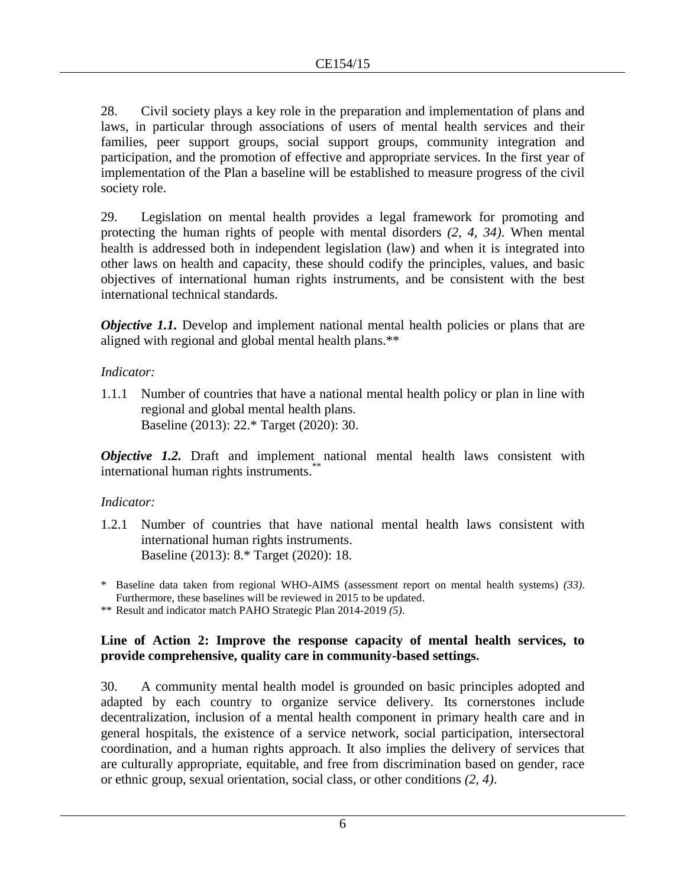28. Civil society plays a key role in the preparation and implementation of plans and laws, in particular through associations of users of mental health services and their families, peer support groups, social support groups, community integration and participation, and the promotion of effective and appropriate services. In the first year of implementation of the Plan a baseline will be established to measure progress of the civil society role.

29. Legislation on mental health provides a legal framework for promoting and protecting the human rights of people with mental disorders *(2, 4, 34)*. When mental health is addressed both in independent legislation (law) and when it is integrated into other laws on health and capacity, these should codify the principles, values, and basic objectives of international human rights instruments, and be consistent with the best international technical standards.

*Objective 1.1.* Develop and implement national mental health policies or plans that are aligned with regional and global mental health plans.\*\*

## *Indicator:*

1.1.1 Number of countries that have a national mental health policy or plan in line with regional and global mental health plans. Baseline (2013): 22.\* Target (2020): 30.

*Objective 1.2.* Draft and implement national mental health laws consistent with international human rights instruments.\*\*

## *Indicator:*

- 1.2.1 Number of countries that have national mental health laws consistent with international human rights instruments. Baseline (2013): 8.\* Target (2020): 18.
- \* Baseline data taken from regional WHO-AIMS (assessment report on mental health systems) *(33)*. Furthermore, these baselines will be reviewed in 2015 to be updated.

\*\* Result and indicator match PAHO Strategic Plan 2014-2019 *(5)*.

## **Line of Action 2: Improve the response capacity of mental health services, to provide comprehensive, quality care in community-based settings.**

30. A community mental health model is grounded on basic principles adopted and adapted by each country to organize service delivery. Its cornerstones include decentralization, inclusion of a mental health component in primary health care and in general hospitals, the existence of a service network, social participation, intersectoral coordination, and a human rights approach. It also implies the delivery of services that are culturally appropriate, equitable, and free from discrimination based on gender, race or ethnic group, sexual orientation, social class, or other conditions *(2, 4)*.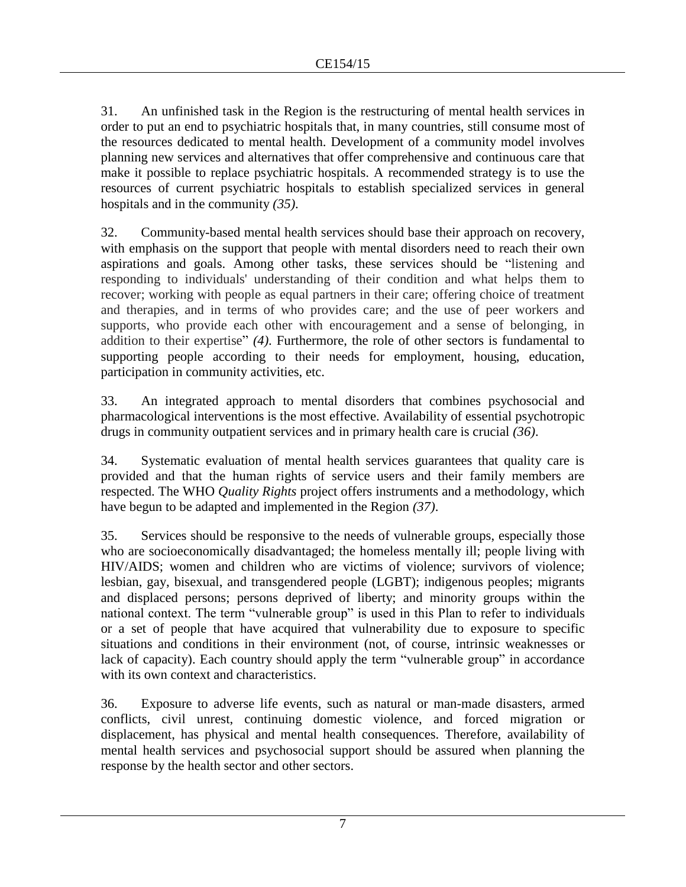31. An unfinished task in the Region is the restructuring of mental health services in order to put an end to psychiatric hospitals that, in many countries, still consume most of the resources dedicated to mental health. Development of a community model involves planning new services and alternatives that offer comprehensive and continuous care that make it possible to replace psychiatric hospitals. A recommended strategy is to use the resources of current psychiatric hospitals to establish specialized services in general hospitals and in the community *(35)*.

32. Community-based mental health services should base their approach on recovery, with emphasis on the support that people with mental disorders need to reach their own aspirations and goals. Among other tasks, these services should be "listening and responding to individuals' understanding of their condition and what helps them to recover; working with people as equal partners in their care; offering choice of treatment and therapies, and in terms of who provides care; and the use of peer workers and supports, who provide each other with encouragement and a sense of belonging, in addition to their expertise" *(4)*. Furthermore, the role of other sectors is fundamental to supporting people according to their needs for employment, housing, education, participation in community activities, etc.

33. An integrated approach to mental disorders that combines psychosocial and pharmacological interventions is the most effective. Availability of essential psychotropic drugs in community outpatient services and in primary health care is crucial *(36)*.

34. Systematic evaluation of mental health services guarantees that quality care is provided and that the human rights of service users and their family members are respected. The WHO *Quality Rights* project offers instruments and a methodology, which have begun to be adapted and implemented in the Region *(37)*.

35. Services should be responsive to the needs of vulnerable groups, especially those who are socioeconomically disadvantaged; the homeless mentally ill; people living with HIV/AIDS; women and children who are victims of violence; survivors of violence; lesbian, gay, bisexual, and transgendered people (LGBT); indigenous peoples; migrants and displaced persons; persons deprived of liberty; and minority groups within the national context. The term "vulnerable group" is used in this Plan to refer to individuals or a set of people that have acquired that vulnerability due to exposure to specific situations and conditions in their environment (not, of course, intrinsic weaknesses or lack of capacity). Each country should apply the term "vulnerable group" in accordance with its own context and characteristics.

36. Exposure to adverse life events, such as natural or man-made disasters, armed conflicts, civil unrest, continuing domestic violence, and forced migration or displacement, has physical and mental health consequences. Therefore, availability of mental health services and psychosocial support should be assured when planning the response by the health sector and other sectors.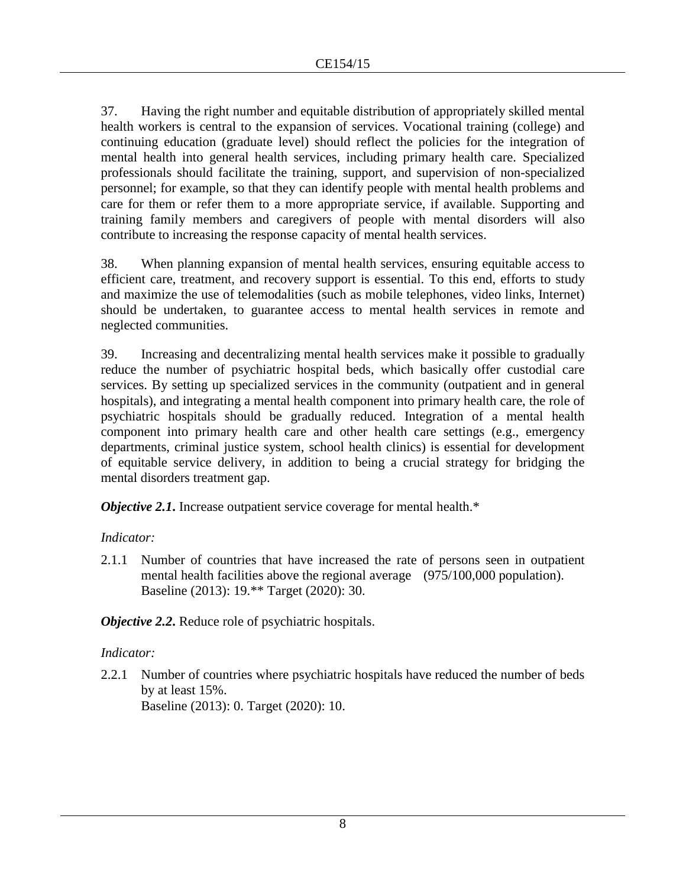37. Having the right number and equitable distribution of appropriately skilled mental health workers is central to the expansion of services. Vocational training (college) and continuing education (graduate level) should reflect the policies for the integration of mental health into general health services, including primary health care. Specialized professionals should facilitate the training, support, and supervision of non-specialized personnel; for example, so that they can identify people with mental health problems and care for them or refer them to a more appropriate service, if available. Supporting and training family members and caregivers of people with mental disorders will also contribute to increasing the response capacity of mental health services.

38. When planning expansion of mental health services, ensuring equitable access to efficient care, treatment, and recovery support is essential. To this end, efforts to study and maximize the use of telemodalities (such as mobile telephones, video links, Internet) should be undertaken, to guarantee access to mental health services in remote and neglected communities.

39. Increasing and decentralizing mental health services make it possible to gradually reduce the number of psychiatric hospital beds, which basically offer custodial care services. By setting up specialized services in the community (outpatient and in general hospitals), and integrating a mental health component into primary health care, the role of psychiatric hospitals should be gradually reduced. Integration of a mental health component into primary health care and other health care settings (e.g., emergency departments, criminal justice system, school health clinics) is essential for development of equitable service delivery, in addition to being a crucial strategy for bridging the mental disorders treatment gap.

*Objective 2.1*. Increase outpatient service coverage for mental health.\*

## *Indicator:*

2.1.1 Number of countries that have increased the rate of persons seen in outpatient mental health facilities above the regional average (975/100,000 population). Baseline (2013): 19.\*\* Target (2020): 30.

*Objective 2.2***.** Reduce role of psychiatric hospitals.

## *Indicator:*

2.2.1 Number of countries where psychiatric hospitals have reduced the number of beds by at least 15%. Baseline (2013): 0. Target (2020): 10.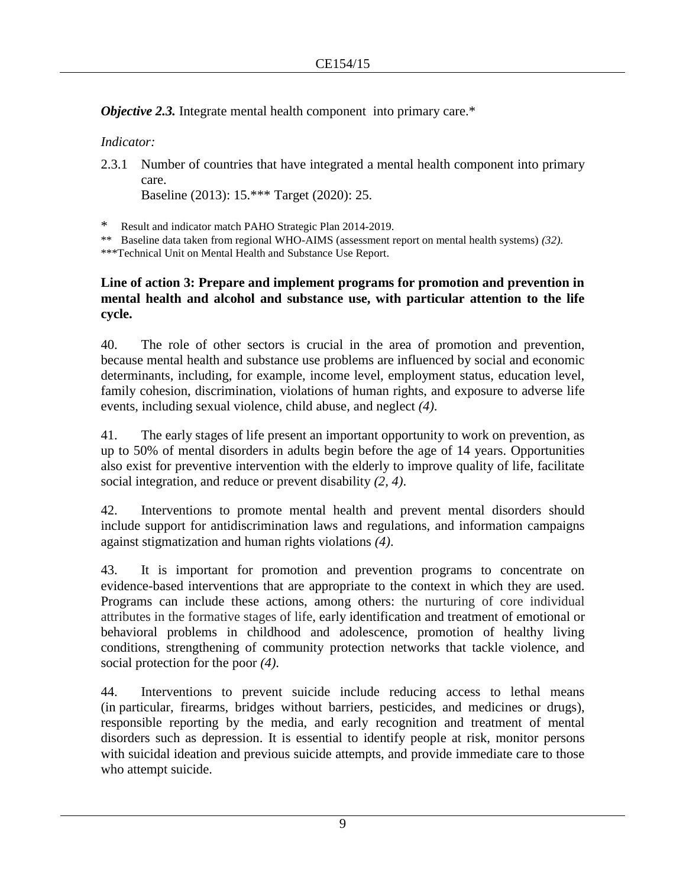*Objective 2.3.* Integrate mental health component into primary care.\*

*Indicator:* 

2.3.1 Number of countries that have integrated a mental health component into primary care.

Baseline (2013): 15.\*\*\* Target (2020): 25.

\* Result and indicator match PAHO Strategic Plan 2014-2019.

\*\* Baseline data taken from regional WHO-AIMS (assessment report on mental health systems) *(32)*.

\*\*\*Technical Unit on Mental Health and Substance Use Report.

## **Line of action 3: Prepare and implement programs for promotion and prevention in mental health and alcohol and substance use, with particular attention to the life cycle.**

40. The role of other sectors is crucial in the area of promotion and prevention, because mental health and substance use problems are influenced by social and economic determinants, including, for example, income level, employment status, education level, family cohesion, discrimination, violations of human rights, and exposure to adverse life events, including sexual violence, child abuse, and neglect *(4)*.

41. The early stages of life present an important opportunity to work on prevention, as up to 50% of mental disorders in adults begin before the age of 14 years. Opportunities also exist for preventive intervention with the elderly to improve quality of life, facilitate social integration, and reduce or prevent disability *(2, 4)*.

42. Interventions to promote mental health and prevent mental disorders should include support for antidiscrimination laws and regulations, and information campaigns against stigmatization and human rights violations *(4)*.

43. It is important for promotion and prevention programs to concentrate on evidence-based interventions that are appropriate to the context in which they are used. Programs can include these actions, among others: the nurturing of core individual attributes in the formative stages of life, early identification and treatment of emotional or behavioral problems in childhood and adolescence, promotion of healthy living conditions, strengthening of community protection networks that tackle violence, and social protection for the poor *(4)*.

44. Interventions to prevent suicide include reducing access to lethal means (in particular, firearms, bridges without barriers, pesticides, and medicines or drugs), responsible reporting by the media, and early recognition and treatment of mental disorders such as depression. It is essential to identify people at risk, monitor persons with suicidal ideation and previous suicide attempts, and provide immediate care to those who attempt suicide.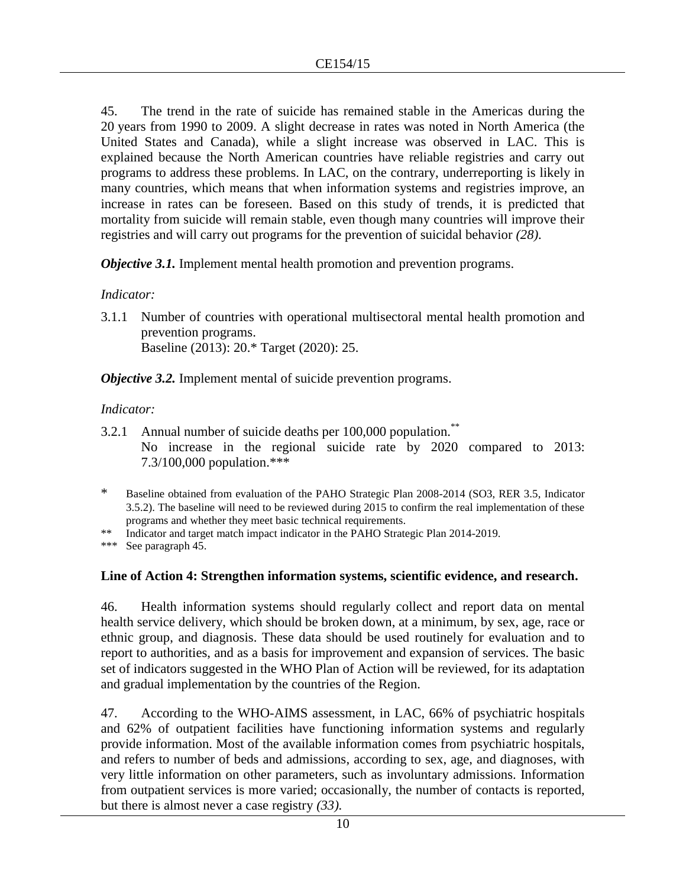45. The trend in the rate of suicide has remained stable in the Americas during the 20 years from 1990 to 2009. A slight decrease in rates was noted in North America (the United States and Canada), while a slight increase was observed in LAC. This is explained because the North American countries have reliable registries and carry out programs to address these problems. In LAC, on the contrary, underreporting is likely in many countries, which means that when information systems and registries improve, an increase in rates can be foreseen. Based on this study of trends, it is predicted that mortality from suicide will remain stable, even though many countries will improve their registries and will carry out programs for the prevention of suicidal behavior *(28)*.

*Objective 3.1.* Implement mental health promotion and prevention programs.

## *Indicator:*

3.1.1 Number of countries with operational multisectoral mental health promotion and prevention programs. Baseline (2013): 20.\* Target (2020): 25.

*Objective 3.2.* Implement mental of suicide prevention programs.

## *Indicator:*

3.2.1 Annual number of suicide deaths per 100,000 population.<sup>\*\*</sup> No increase in the regional suicide rate by 2020 compared to 2013: 7.3/100,000 population.\*\*\*

\*\* Indicator and target match impact indicator in the PAHO Strategic Plan 2014-2019.

\*\*\* See paragraph 45.

## **Line of Action 4: Strengthen information systems, scientific evidence, and research.**

46. Health information systems should regularly collect and report data on mental health service delivery, which should be broken down, at a minimum, by sex, age, race or ethnic group, and diagnosis. These data should be used routinely for evaluation and to report to authorities, and as a basis for improvement and expansion of services. The basic set of indicators suggested in the WHO Plan of Action will be reviewed, for its adaptation and gradual implementation by the countries of the Region.

47. According to the WHO-AIMS assessment, in LAC, 66% of psychiatric hospitals and 62% of outpatient facilities have functioning information systems and regularly provide information. Most of the available information comes from psychiatric hospitals, and refers to number of beds and admissions, according to sex, age, and diagnoses, with very little information on other parameters, such as involuntary admissions. Information from outpatient services is more varied; occasionally, the number of contacts is reported, but there is almost never a case registry *(33).* 

<sup>\*</sup> Baseline obtained from evaluation of the PAHO Strategic Plan 2008-2014 (SO3, RER 3.5, Indicator 3.5.2). The baseline will need to be reviewed during 2015 to confirm the real implementation of these programs and whether they meet basic technical requirements.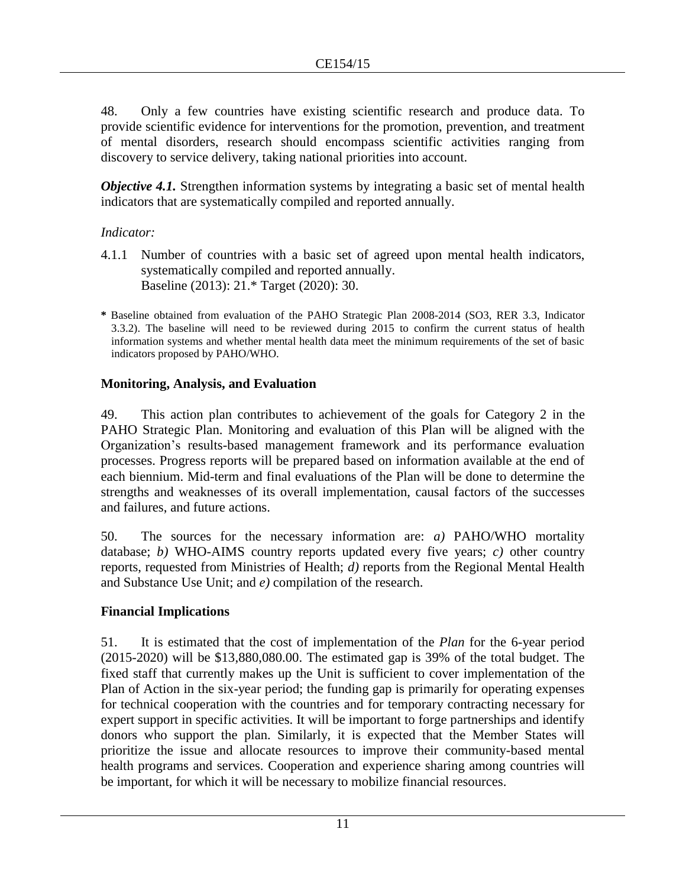48. Only a few countries have existing scientific research and produce data. To provide scientific evidence for interventions for the promotion, prevention, and treatment of mental disorders, research should encompass scientific activities ranging from discovery to service delivery, taking national priorities into account.

*Objective 4.1.* Strengthen information systems by integrating a basic set of mental health indicators that are systematically compiled and reported annually.

#### *Indicator:*

- 4.1.1 Number of countries with a basic set of agreed upon mental health indicators, systematically compiled and reported annually. Baseline (2013): 21.\* Target (2020): 30.
- **\*** Baseline obtained from evaluation of the PAHO Strategic Plan 2008-2014 (SO3, RER 3.3, Indicator 3.3.2). The baseline will need to be reviewed during 2015 to confirm the current status of health information systems and whether mental health data meet the minimum requirements of the set of basic indicators proposed by PAHO/WHO.

## **Monitoring, Analysis, and Evaluation**

49. This action plan contributes to achievement of the goals for Category 2 in the PAHO Strategic Plan. Monitoring and evaluation of this Plan will be aligned with the Organization's results-based management framework and its performance evaluation processes. Progress reports will be prepared based on information available at the end of each biennium. Mid-term and final evaluations of the Plan will be done to determine the strengths and weaknesses of its overall implementation, causal factors of the successes and failures, and future actions.

50. The sources for the necessary information are: *a)* PAHO/WHO mortality database; *b)* WHO-AIMS country reports updated every five years; *c)* other country reports, requested from Ministries of Health; *d)* reports from the Regional Mental Health and Substance Use Unit; and *e)* compilation of the research.

## **Financial Implications**

51. It is estimated that the cost of implementation of the *Plan* for the 6-year period (2015-2020) will be \$13,880,080.00. The estimated gap is 39% of the total budget. The fixed staff that currently makes up the Unit is sufficient to cover implementation of the Plan of Action in the six-year period; the funding gap is primarily for operating expenses for technical cooperation with the countries and for temporary contracting necessary for expert support in specific activities. It will be important to forge partnerships and identify donors who support the plan. Similarly, it is expected that the Member States will prioritize the issue and allocate resources to improve their community-based mental health programs and services. Cooperation and experience sharing among countries will be important, for which it will be necessary to mobilize financial resources.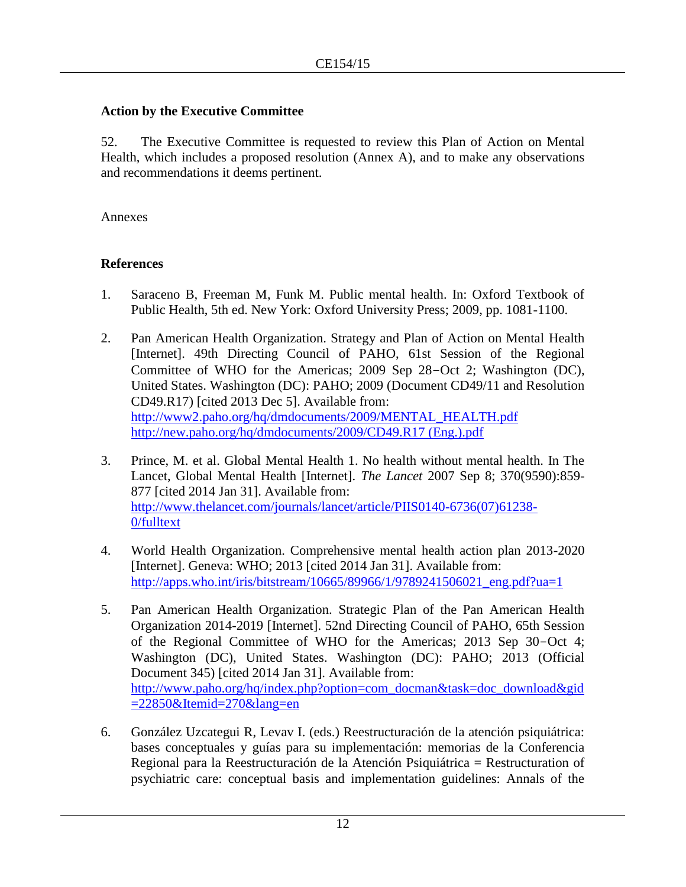## **Action by the Executive Committee**

52. The Executive Committee is requested to review this Plan of Action on Mental Health, which includes a proposed resolution (Annex A), and to make any observations and recommendations it deems pertinent.

Annexes

## **References**

- 1. Saraceno B, Freeman M, Funk M. Public mental health. In: Oxford Textbook of Public Health, 5th ed. New York: Oxford University Press; 2009, pp. 1081-1100.
- 2. Pan American Health Organization. Strategy and Plan of Action on Mental Health [Internet]. 49th Directing Council of PAHO, 61st Session of the Regional Committee of WHO for the Americas; 2009 Sep 28–Oct 2; Washington (DC), United States. Washington (DC): PAHO; 2009 (Document CD49/11 and Resolution CD49.R17) [cited 2013 Dec 5]. Available from: [http://www2.paho.org/hq/dmdocuments/2009/MENTAL\\_HEALTH.pdf](http://www2.paho.org/hq/dmdocuments/2009/MENTAL_HEALTH.pdf) <http://new.paho.org/hq/dmdocuments/2009/CD49.R17> (Eng.).pdf
- 3. Prince, M. et al. Global Mental Health 1. No health without mental health. In The Lancet, Global Mental Health [Internet]. *The Lancet* 2007 Sep 8; 370(9590):859- 877 [cited 2014 Jan 31]. Available from: [http://www.thelancet.com/journals/lancet/article/PIIS0140-6736\(07\)61238-](http://www.thelancet.com/journals/lancet/article/PIIS0140-6736(07)61238-0/fulltext) [0/fulltext](http://www.thelancet.com/journals/lancet/article/PIIS0140-6736(07)61238-0/fulltext)
- 4. World Health Organization. Comprehensive mental health action plan 2013-2020 [Internet]. Geneva: WHO; 2013 [cited 2014 Jan 31]. Available from: [http://apps.who.int/iris/bitstream/10665/89966/1/9789241506021\\_eng.pdf?ua=1](http://apps.who.int/iris/bitstream/10665/89966/1/9789241506021_eng.pdf?ua=1)
- 5. Pan American Health Organization. Strategic Plan of the Pan American Health Organization 2014-2019 [Internet]. 52nd Directing Council of PAHO, 65th Session of the Regional Committee of WHO for the Americas; 2013 Sep 30-Oct 4; Washington (DC), United States. Washington (DC): PAHO; 2013 (Official Document 345) [cited 2014 Jan 31]. Available from: [http://www.paho.org/hq/index.php?option=com\\_docman&task=doc\\_download&gid](http://www.paho.org/hq/index.php?option=com_docman&task=doc_download&gid=22850&Itemid=270&lang=en) [=22850&Itemid=270&lang=en](http://www.paho.org/hq/index.php?option=com_docman&task=doc_download&gid=22850&Itemid=270&lang=en)
- 6. González Uzcategui R, Levav I. (eds.) Reestructuración de la atención psiquiátrica: bases conceptuales y guías para su implementación: memorias de la Conferencia Regional para la Reestructuración de la Atención Psiquiátrica = Restructuration of psychiatric care: conceptual basis and implementation guidelines: Annals of the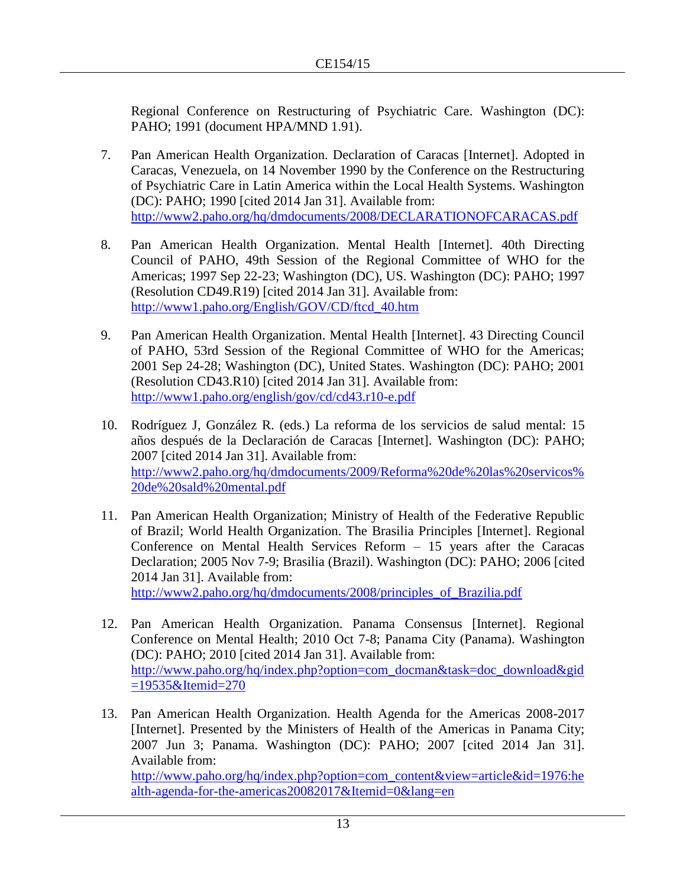Regional Conference on Restructuring of Psychiatric Care. Washington (DC): PAHO; 1991 (document HPA/MND 1.91).

- 7. Pan American Health Organization. Declaration of Caracas [Internet]. Adopted in Caracas, Venezuela, on 14 November 1990 by the Conference on the Restructuring of Psychiatric Care in Latin America within the Local Health Systems. Washington (DC): PAHO; 1990 [cited 2014 Jan 31]. Available from: <http://www2.paho.org/hq/dmdocuments/2008/DECLARATIONOFCARACAS.pdf>
- 8. Pan American Health Organization. Mental Health [Internet]. 40th Directing Council of PAHO, 49th Session of the Regional Committee of WHO for the Americas; 1997 Sep 22-23; Washington (DC), US. Washington (DC): PAHO; 1997 (Resolution CD49.R19) [cited 2014 Jan 31]. Available from: [http://www1.paho.org/English/GOV/CD/ftcd\\_40.htm](http://www1.paho.org/English/GOV/CD/ftcd_40.htm)
- 9. Pan American Health Organization. Mental Health [Internet]. 43 Directing Council of PAHO, 53rd Session of the Regional Committee of WHO for the Americas; 2001 Sep 24-28; Washington (DC), United States. Washington (DC): PAHO; 2001 (Resolution CD43.R10) [cited 2014 Jan 31]. Available from: <http://www1.paho.org/english/gov/cd/cd43.r10-e.pdf>
- 10. Rodríguez J, González R. (eds.) La reforma de los servicios de salud mental: 15 años después de la Declaración de Caracas [Internet]. Washington (DC): PAHO; 2007 [cited 2014 Jan 31]. Available from: [http://www2.paho.org/hq/dmdocuments/2009/Reforma%20de%20las%20servicos%](http://www2.paho.org/hq/dmdocuments/2009/Reforma%20de%20las%20servicos%20de%20sald%20mental.pdf) [20de%20sald%20mental.pdf](http://www2.paho.org/hq/dmdocuments/2009/Reforma%20de%20las%20servicos%20de%20sald%20mental.pdf)
- 11. Pan American Health Organization; Ministry of Health of the Federative Republic of Brazil; World Health Organization. The Brasilia Principles [Internet]. Regional Conference on Mental Health Services Reform – 15 years after the Caracas Declaration; 2005 Nov 7-9; Brasilia (Brazil). Washington (DC): PAHO; 2006 [cited 2014 Jan 31]. Available from: [http://www2.paho.org/hq/dmdocuments/2008/principles\\_of\\_Brazilia.pdf](http://www2.paho.org/hq/dmdocuments/2008/principles_of_Brazilia.pdf)
- 12. Pan American Health Organization. Panama Consensus [Internet]. Regional Conference on Mental Health; 2010 Oct 7-8; Panama City (Panama). Washington (DC): PAHO; 2010 [cited 2014 Jan 31]. Available from: [http://www.paho.org/hq/index.php?option=com\\_docman&task=doc\\_download&gid](file:///C:/Users/kesteld/AppData/Local/Microsoft/Windows/Temporary%20Internet%20Files/Content.Outlook/HNT91MC9/%09http:/www.paho.org/hq/index.php%3foption=com_docman&task=doc_download&gid=19535&Itemid=270)
	- [=19535&Itemid=270](file:///C:/Users/kesteld/AppData/Local/Microsoft/Windows/Temporary%20Internet%20Files/Content.Outlook/HNT91MC9/%09http:/www.paho.org/hq/index.php%3foption=com_docman&task=doc_download&gid=19535&Itemid=270)
- 13. Pan American Health Organization. Health Agenda for the Americas 2008-2017 [Internet]. Presented by the Ministers of Health of the Americas in Panama City; 2007 Jun 3; Panama. Washington (DC): PAHO; 2007 [cited 2014 Jan 31]. Available from: [http://www.paho.org/hq/index.php?option=com\\_content&view=article&id=1976:he](http://www.paho.org/hq/index.php?option=com_content&view=article&id=1976:health-agenda-for-the-americas20082017&Itemid=0&lang=en) [alth-agenda-for-the-americas20082017&Itemid=0&lang=en](http://www.paho.org/hq/index.php?option=com_content&view=article&id=1976:health-agenda-for-the-americas20082017&Itemid=0&lang=en)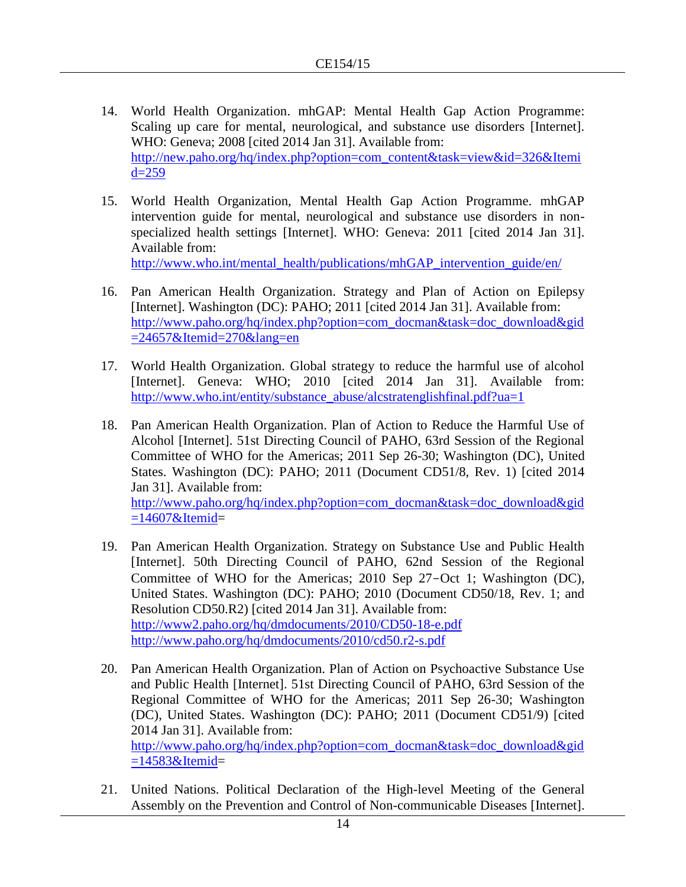- 14. World Health Organization. mhGAP: Mental Health Gap Action Programme: Scaling up care for mental, neurological, and substance use disorders [Internet]. WHO: Geneva; 2008 [cited 2014 Jan 31]. Available from: [http://new.paho.org/hq/index.php?option=com\\_content&task=view&id=326&Itemi](http://new.paho.org/hq/index.php?option=com_content&task=view&id=326&Itemid=259)  $d=259$
- 15. World Health Organization, Mental Health Gap Action Programme. mhGAP intervention guide for mental, neurological and substance use disorders in nonspecialized health settings [Internet]. WHO: Geneva: 2011 [cited 2014 Jan 31]. Available from:

[http://www.who.int/mental\\_health/publications/mhGAP\\_intervention\\_guide/en/](http://www.who.int/mental_health/publications/mhGAP_intervention_guide/en/)

- 16. Pan American Health Organization. Strategy and Plan of Action on Epilepsy [Internet]. Washington (DC): PAHO; 2011 [cited 2014 Jan 31]. Available from: [http://www.paho.org/hq/index.php?option=com\\_docman&task=doc\\_download&gid](http://www.paho.org/hq/index.php?option=com_docman&task=doc_download&gid=24657&Itemid=270&lang=en)  $=24657\&$ Itemid $=270\&$ lang=en
- 17. World Health Organization. Global strategy to reduce the harmful use of alcohol [Internet]. Geneva: WHO; 2010 [cited 2014 Jan 31]. Available from: [http://www.who.int/entity/substance\\_abuse/alcstratenglishfinal.pdf?ua=1](http://www.who.int/entity/substance_abuse/alcstratenglishfinal.pdf?ua=1)
- 18. Pan American Health Organization. Plan of Action to Reduce the Harmful Use of Alcohol [Internet]. 51st Directing Council of PAHO, 63rd Session of the Regional Committee of WHO for the Americas; 2011 Sep 26-30; Washington (DC), United States. Washington (DC): PAHO; 2011 (Document CD51/8, Rev. 1) [cited 2014 Jan 31]. Available from: [http://www.paho.org/hq/index.php?option=com\\_docman&task=doc\\_download&gid](http://www.paho.org/hq/index.php?option=com_docman&task=doc_download&gid=14607&Itemid)  $=14607\&$ Itemid=
- 19. Pan American Health Organization. Strategy on Substance Use and Public Health [Internet]. 50th Directing Council of PAHO, 62nd Session of the Regional Committee of WHO for the Americas; 2010 Sep 27-Oct 1; Washington (DC), United States. Washington (DC): PAHO; 2010 (Document CD50/18, Rev. 1; and Resolution CD50.R2) [cited 2014 Jan 31]. Available from: <http://www2.paho.org/hq/dmdocuments/2010/CD50-18-e.pdf> <http://www.paho.org/hq/dmdocuments/2010/cd50.r2-s.pdf>
- 20. Pan American Health Organization. Plan of Action on Psychoactive Substance Use and Public Health [Internet]. 51st Directing Council of PAHO, 63rd Session of the Regional Committee of WHO for the Americas; 2011 Sep 26-30; Washington (DC), United States. Washington (DC): PAHO; 2011 (Document CD51/9) [cited 2014 Jan 31]. Available from: [http://www.paho.org/hq/index.php?option=com\\_docman&task=doc\\_download&gid](http://www.paho.org/hq/index.php?option=com_docman&task=doc_download&gid=14583&Itemid)  $=14583\&$ Itemid $=$
- 21. United Nations. Political Declaration of the High-level Meeting of the General Assembly on the Prevention and Control of Non-communicable Diseases [Internet].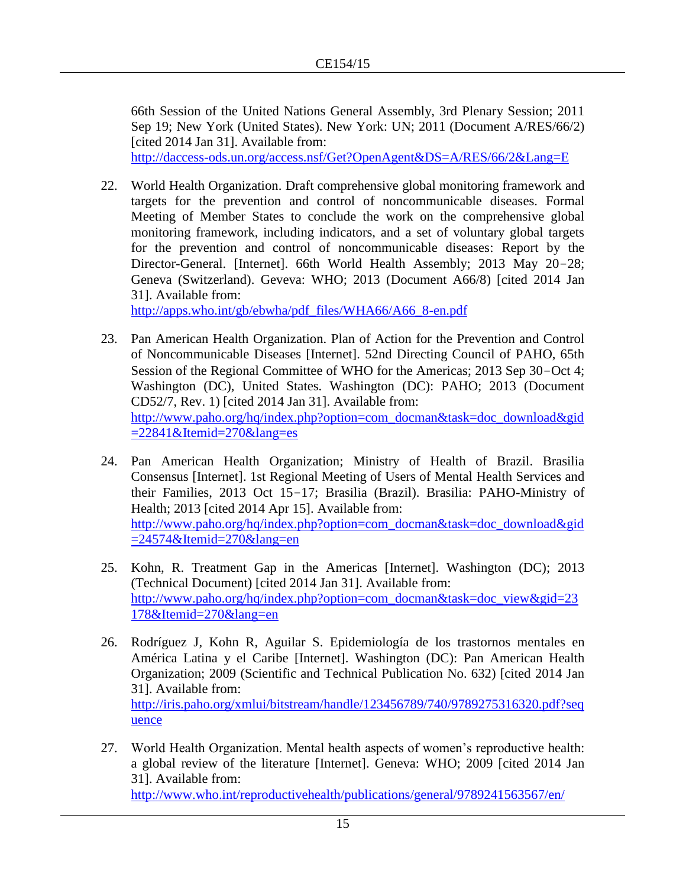66th Session of the United Nations General Assembly, 3rd Plenary Session; 2011 Sep 19; New York (United States). New York: UN; 2011 (Document A/RES/66/2) [cited 2014 Jan 31]. Available from:

<http://daccess-ods.un.org/access.nsf/Get?OpenAgent&DS=A/RES/66/2&Lang=E>

22. World Health Organization. Draft comprehensive global monitoring framework and targets for the prevention and control of noncommunicable diseases. Formal Meeting of Member States to conclude the work on the comprehensive global monitoring framework, including indicators, and a set of voluntary global targets for the prevention and control of noncommunicable diseases: Report by the Director-General. [Internet]. 66th World Health Assembly; 2013 May 20-28; Geneva (Switzerland). Geveva: WHO; 2013 (Document A66/8) [cited 2014 Jan 31]. Available from:

[http://apps.who.int/gb/ebwha/pdf\\_files/WHA66/A66\\_8-en.pdf](http://apps.who.int/gb/ebwha/pdf_files/WHA66/A66_8-en.pdf)

- 23. Pan American Health Organization. Plan of Action for the Prevention and Control of Noncommunicable Diseases [Internet]. 52nd Directing Council of PAHO, 65th Session of the Regional Committee of WHO for the Americas; 2013 Sep 30-Oct 4; Washington (DC), United States. Washington (DC): PAHO; 2013 (Document CD52/7, Rev. 1) [cited 2014 Jan 31]. Available from: [http://www.paho.org/hq/index.php?option=com\\_docman&task=doc\\_download&gid](http://www.paho.org/hq/index.php?option=com_docman&task=doc_download&gid=22841&Itemid=270&lang=es)  $=22841\&$ Itemid $=270\&$ lang $=$ es
- 24. Pan American Health Organization; Ministry of Health of Brazil. Brasilia Consensus [Internet]. 1st Regional Meeting of Users of Mental Health Services and their Families, 2013 Oct 15-17; Brasilia (Brazil). Brasilia: PAHO-Ministry of Health; 2013 [cited 2014 Apr 15]. Available from: [http://www.paho.org/hq/index.php?option=com\\_docman&task=doc\\_download&gid](http://www.paho.org/hq/index.php?option=com_docman&task=doc_download&gid=24574&Itemid=270&lang=en)  $=24574\&$ Itemid $=270\&$ lang=en
- 25. Kohn, R. Treatment Gap in the Americas [Internet]. Washington (DC); 2013 (Technical Document) [cited 2014 Jan 31]. Available from: [http://www.paho.org/hq/index.php?option=com\\_docman&task=doc\\_view&gid=23](http://www.paho.org/hq/index.php?option=com_docman&task=doc_view&gid=23178&Itemid=270&lang=en) [178&Itemid=270&lang=en](http://www.paho.org/hq/index.php?option=com_docman&task=doc_view&gid=23178&Itemid=270&lang=en)
- 26. Rodríguez J, Kohn R, Aguilar S. Epidemiología de los trastornos mentales en América Latina y el Caribe [Internet]. Washington (DC): Pan American Health Organization; 2009 (Scientific and Technical Publication No. 632) [cited 2014 Jan 31]. Available from: [http://iris.paho.org/xmlui/bitstream/handle/123456789/740/9789275316320.pdf?seq](http://iris.paho.org/xmlui/bitstream/handle/123456789/740/9789275316320.pdf?sequence) [uence](http://iris.paho.org/xmlui/bitstream/handle/123456789/740/9789275316320.pdf?sequence)
- 27. World Health Organization. Mental health aspects of women's reproductive health: a global review of the literature [Internet]. Geneva: WHO; 2009 [cited 2014 Jan 31]. Available from: <http://www.who.int/reproductivehealth/publications/general/9789241563567/en/>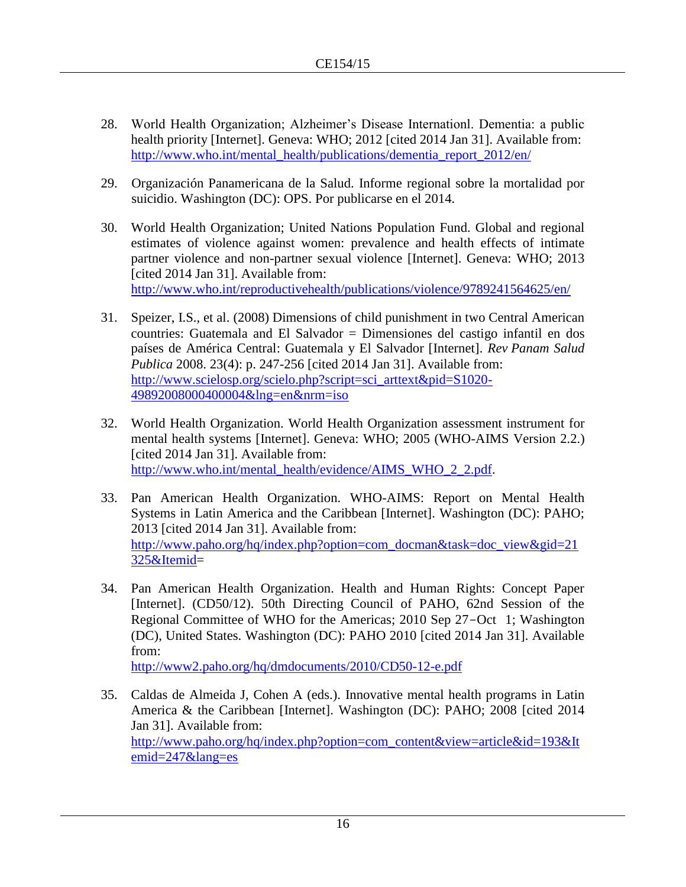- 28. World Health Organization; Alzheimer's Disease Internationl. Dementia: a public health priority [Internet]. Geneva: WHO; 2012 [cited 2014 Jan 31]. Available from: [http://www.who.int/mental\\_health/publications/dementia\\_report\\_2012/en/](http://www.who.int/mental_health/publications/dementia_report_2012/en/)
- 29. Organización Panamericana de la Salud. Informe regional sobre la mortalidad por suicidio. Washington (DC): OPS. Por publicarse en el 2014.
- 30. World Health Organization; United Nations Population Fund. Global and regional estimates of violence against women: prevalence and health effects of intimate partner violence and non-partner sexual violence [Internet]. Geneva: WHO; 2013 [cited 2014 Jan 31]. Available from: <http://www.who.int/reproductivehealth/publications/violence/9789241564625/en/>
- 31. Speizer, I.S., et al. (2008) Dimensions of child punishment in two Central American countries: Guatemala and El Salvador = Dimensiones del castigo infantil en dos países de América Central: Guatemala y El Salvador [Internet]. *Rev Panam Salud Publica* 2008. 23(4): p. 247-256 [cited 2014 Jan 31]. Available from: [http://www.scielosp.org/scielo.php?script=sci\\_arttext&pid=S1020-](http://www.scielosp.org/scielo.php?script=sci_arttext&pid=S1020-49892008000400004&lng=en&nrm=iso) [49892008000400004&lng=en&nrm=iso](http://www.scielosp.org/scielo.php?script=sci_arttext&pid=S1020-49892008000400004&lng=en&nrm=iso)
- 32. World Health Organization. World Health Organization assessment instrument for mental health systems [Internet]. Geneva: WHO; 2005 (WHO-AIMS Version 2.2.) [cited 2014 Jan 31]. Available from: [http://www.who.int/mental\\_health/evidence/AIMS\\_WHO\\_2\\_2.pdf.](http://www.who.int/mental_health/evidence/AIMS_WHO_2_2.pdf)
- 33. Pan American Health Organization. WHO-AIMS: Report on Mental Health Systems in Latin America and the Caribbean [Internet]. Washington (DC): PAHO; 2013 [cited 2014 Jan 31]. Available from: [http://www.paho.org/hq/index.php?option=com\\_docman&task=doc\\_view&gid=21](http://www.paho.org/hq/index.php?option=com_docman&task=doc_view&gid=21325&Itemid) [325&Itemid=](http://www.paho.org/hq/index.php?option=com_docman&task=doc_view&gid=21325&Itemid)
- 34. Pan American Health Organization. Health and Human Rights: Concept Paper [Internet]. (CD50/12). 50th Directing Council of PAHO, 62nd Session of the Regional Committee of WHO for the Americas; 2010 Sep 27-Oct 1; Washington (DC), United States. Washington (DC): PAHO 2010 [cited 2014 Jan 31]. Available from:

<http://www2.paho.org/hq/dmdocuments/2010/CD50-12-e.pdf>

35. Caldas de Almeida J, Cohen A (eds.). Innovative mental health programs in Latin America & the Caribbean [Internet]. Washington (DC): PAHO; 2008 [cited 2014 Jan 31]. Available from: [http://www.paho.org/hq/index.php?option=com\\_content&view=article&id=193&It](http://www.paho.org/hq/index.php?option=com_content&view=article&id=193&Itemid=247&lang=es) [emid=247&lang=es](http://www.paho.org/hq/index.php?option=com_content&view=article&id=193&Itemid=247&lang=es)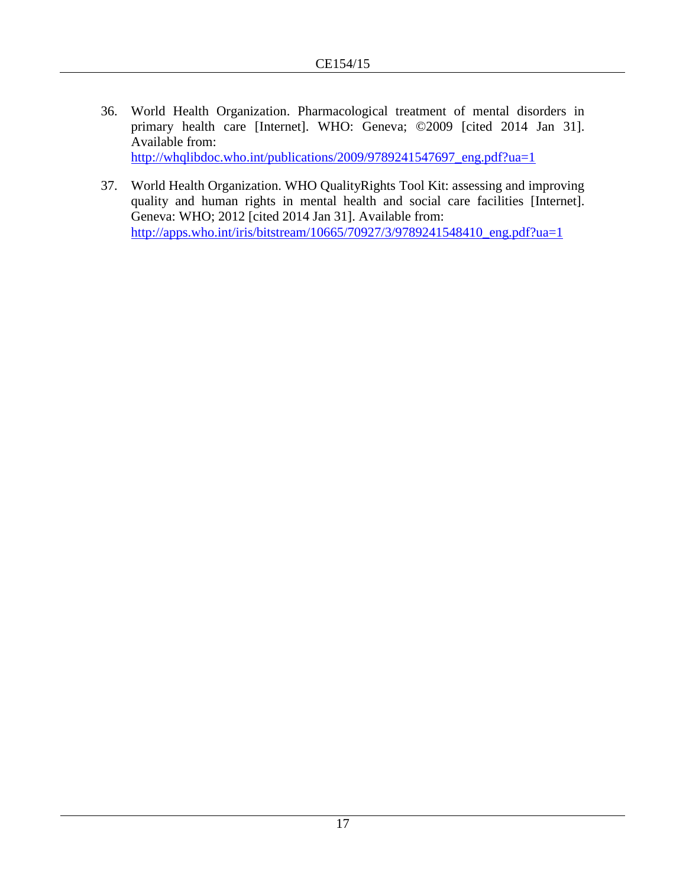- 36. World Health Organization. Pharmacological treatment of mental disorders in primary health care [Internet]. WHO: Geneva; ©2009 [cited 2014 Jan 31]. Available from: [http://whqlibdoc.who.int/publications/2009/9789241547697\\_eng.pdf?ua=1](http://whqlibdoc.who.int/publications/2009/9789241547697_eng.pdf?ua=1)
- 37. World Health Organization. WHO QualityRights Tool Kit: assessing and improving quality and human rights in mental health and social care facilities [Internet]. Geneva: WHO; 2012 [cited 2014 Jan 31]. Available from: [http://apps.who.int/iris/bitstream/10665/70927/3/9789241548410\\_eng.pdf?ua=1](http://apps.who.int/iris/bitstream/10665/70927/3/9789241548410_eng.pdf?ua=1)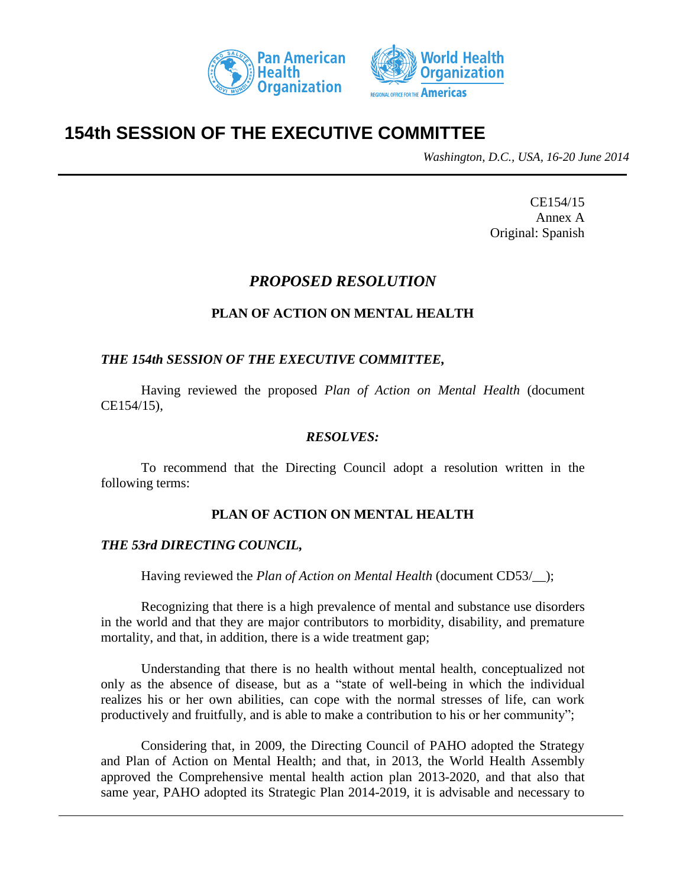



# **154th SESSION OF THE EXECUTIVE COMMITTEE**

*Washington, D.C., USA, 16-20 June 2014*

CE154/15 Annex A Original: Spanish

## *PROPOSED RESOLUTION*

## **PLAN OF ACTION ON MENTAL HEALTH**

## *THE 154th SESSION OF THE EXECUTIVE COMMITTEE,*

Having reviewed the proposed *Plan of Action on Mental Health* (document CE154/15),

#### *RESOLVES:*

To recommend that the Directing Council adopt a resolution written in the following terms:

## **PLAN OF ACTION ON MENTAL HEALTH**

## *THE 53rd DIRECTING COUNCIL,*

Having reviewed the *Plan of Action on Mental Health* (document CD53/);

Recognizing that there is a high prevalence of mental and substance use disorders in the world and that they are major contributors to morbidity, disability, and premature mortality, and that, in addition, there is a wide treatment gap;

Understanding that there is no health without mental health, conceptualized not only as the absence of disease, but as a "state of well-being in which the individual realizes his or her own abilities, can cope with the normal stresses of life, can work productively and fruitfully, and is able to make a contribution to his or her community";

Considering that, in 2009, the Directing Council of PAHO adopted the Strategy and Plan of Action on Mental Health; and that, in 2013, the World Health Assembly approved the Comprehensive mental health action plan 2013-2020, and that also that same year, PAHO adopted its Strategic Plan 2014-2019, it is advisable and necessary to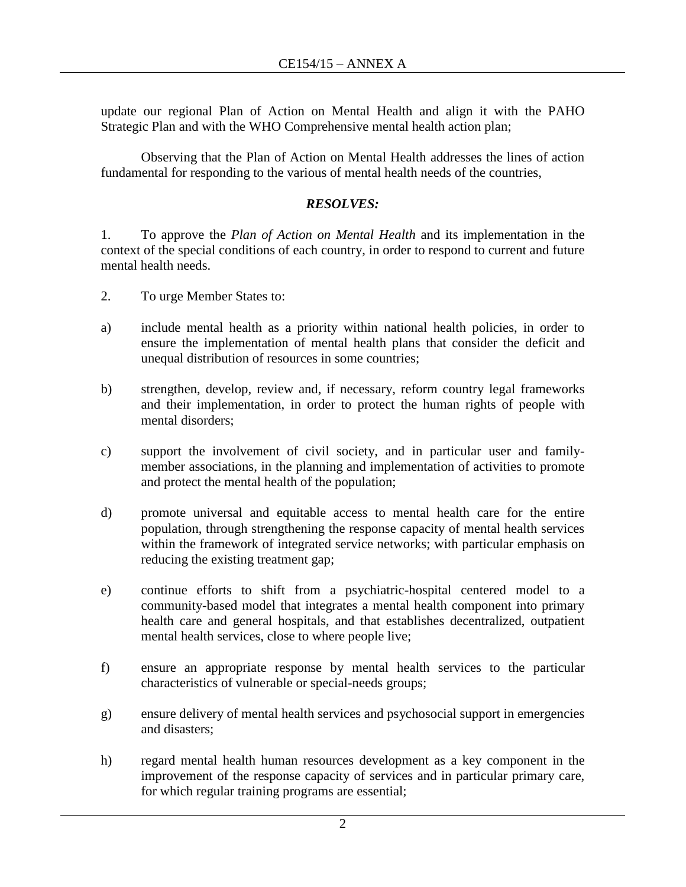update our regional Plan of Action on Mental Health and align it with the PAHO Strategic Plan and with the WHO Comprehensive mental health action plan;

Observing that the Plan of Action on Mental Health addresses the lines of action fundamental for responding to the various of mental health needs of the countries,

## *RESOLVES:*

1. To approve the *Plan of Action on Mental Health* and its implementation in the context of the special conditions of each country, in order to respond to current and future mental health needs.

- 2. To urge Member States to:
- a) include mental health as a priority within national health policies, in order to ensure the implementation of mental health plans that consider the deficit and unequal distribution of resources in some countries;
- b) strengthen, develop, review and, if necessary, reform country legal frameworks and their implementation, in order to protect the human rights of people with mental disorders;
- c) support the involvement of civil society, and in particular user and familymember associations, in the planning and implementation of activities to promote and protect the mental health of the population;
- d) promote universal and equitable access to mental health care for the entire population, through strengthening the response capacity of mental health services within the framework of integrated service networks; with particular emphasis on reducing the existing treatment gap;
- e) continue efforts to shift from a psychiatric-hospital centered model to a community-based model that integrates a mental health component into primary health care and general hospitals, and that establishes decentralized, outpatient mental health services, close to where people live;
- f) ensure an appropriate response by mental health services to the particular characteristics of vulnerable or special-needs groups;
- g) ensure delivery of mental health services and psychosocial support in emergencies and disasters;
- h) regard mental health human resources development as a key component in the improvement of the response capacity of services and in particular primary care, for which regular training programs are essential;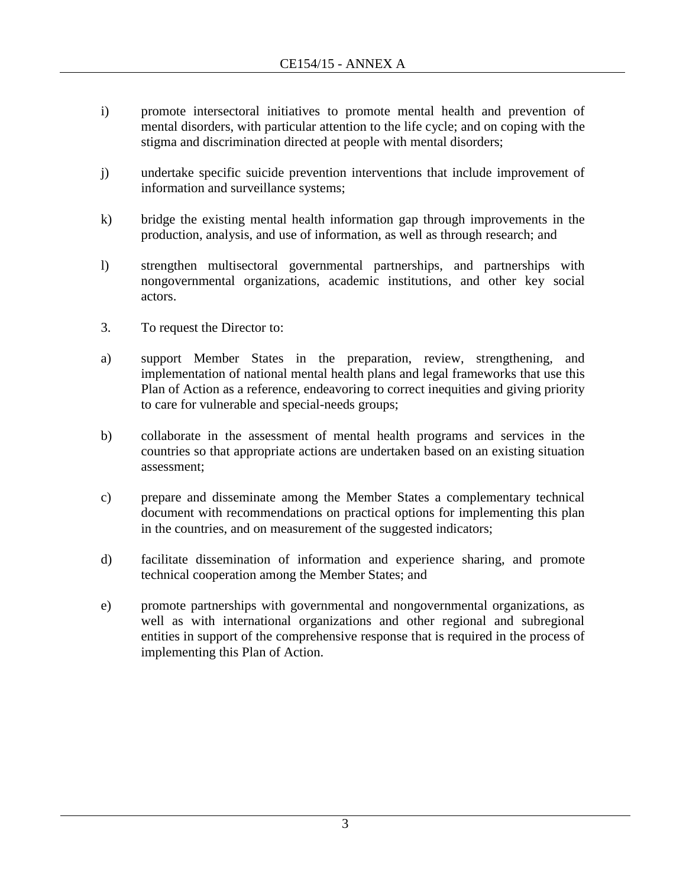- i) promote intersectoral initiatives to promote mental health and prevention of mental disorders, with particular attention to the life cycle; and on coping with the stigma and discrimination directed at people with mental disorders;
- j) undertake specific suicide prevention interventions that include improvement of information and surveillance systems;
- k) bridge the existing mental health information gap through improvements in the production, analysis, and use of information, as well as through research; and
- l) strengthen multisectoral governmental partnerships, and partnerships with nongovernmental organizations, academic institutions, and other key social actors.
- 3. To request the Director to:
- a) support Member States in the preparation, review, strengthening, and implementation of national mental health plans and legal frameworks that use this Plan of Action as a reference, endeavoring to correct inequities and giving priority to care for vulnerable and special-needs groups;
- b) collaborate in the assessment of mental health programs and services in the countries so that appropriate actions are undertaken based on an existing situation assessment;
- c) prepare and disseminate among the Member States a complementary technical document with recommendations on practical options for implementing this plan in the countries, and on measurement of the suggested indicators;
- d) facilitate dissemination of information and experience sharing, and promote technical cooperation among the Member States; and
- e) promote partnerships with governmental and nongovernmental organizations, as well as with international organizations and other regional and subregional entities in support of the comprehensive response that is required in the process of implementing this Plan of Action.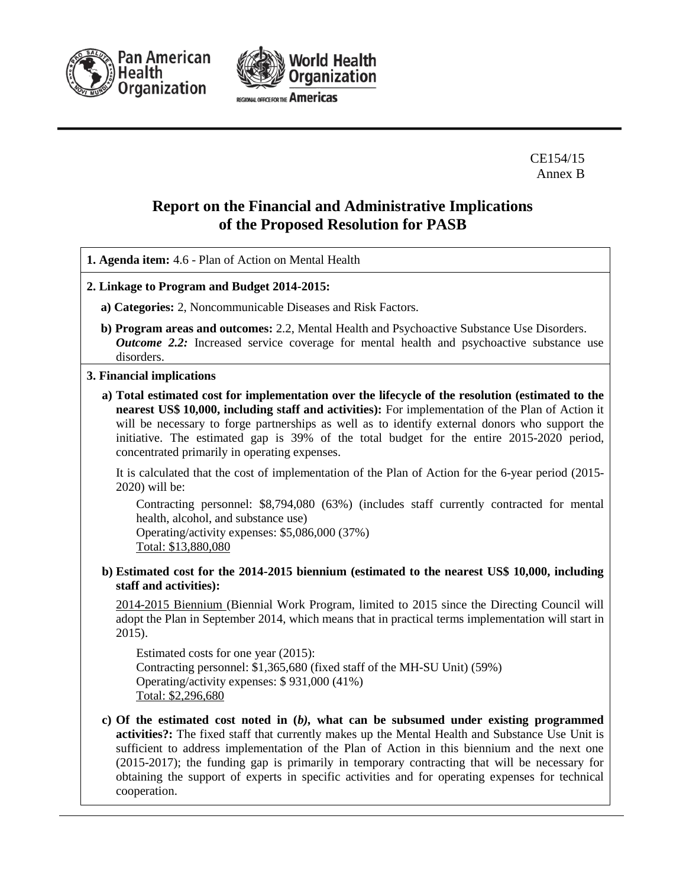



CE154/15 Annex B

## **Report on the Financial and Administrative Implications of the Proposed Resolution for PASB**

**1. Agenda item:** 4.6 - Plan of Action on Mental Health

- **2. Linkage to Program and Budget 2014-2015:**
	- **a) Categories:** 2, Noncommunicable Diseases and Risk Factors.
	- **b) Program areas and outcomes:** 2.2, Mental Health and Psychoactive Substance Use Disorders. *Outcome* 2.2: Increased service coverage for mental health and psychoactive substance use disorders.

#### **3. Financial implications**

**a) Total estimated cost for implementation over the lifecycle of the resolution (estimated to the nearest US\$ 10,000, including staff and activities):** For implementation of the Plan of Action it will be necessary to forge partnerships as well as to identify external donors who support the initiative. The estimated gap is 39% of the total budget for the entire 2015-2020 period, concentrated primarily in operating expenses.

It is calculated that the cost of implementation of the Plan of Action for the 6-year period (2015- 2020) will be:

Contracting personnel: \$8,794,080 (63%) (includes staff currently contracted for mental health, alcohol, and substance use)

Operating/activity expenses: \$5,086,000 (37%) Total: \$13,880,080

**b) Estimated cost for the 2014-2015 biennium (estimated to the nearest US\$ 10,000, including staff and activities):**

2014-2015 Biennium (Biennial Work Program, limited to 2015 since the Directing Council will adopt the Plan in September 2014, which means that in practical terms implementation will start in 2015).

Estimated costs for one year (2015): Contracting personnel: \$1,365,680 (fixed staff of the MH-SU Unit) (59%) Operating/activity expenses: \$ 931,000 (41%) Total: \$2,296,680

**c) Of the estimated cost noted in (***b),* **what can be subsumed under existing programmed activities?:** The fixed staff that currently makes up the Mental Health and Substance Use Unit is sufficient to address implementation of the Plan of Action in this biennium and the next one (2015-2017); the funding gap is primarily in temporary contracting that will be necessary for obtaining the support of experts in specific activities and for operating expenses for technical cooperation.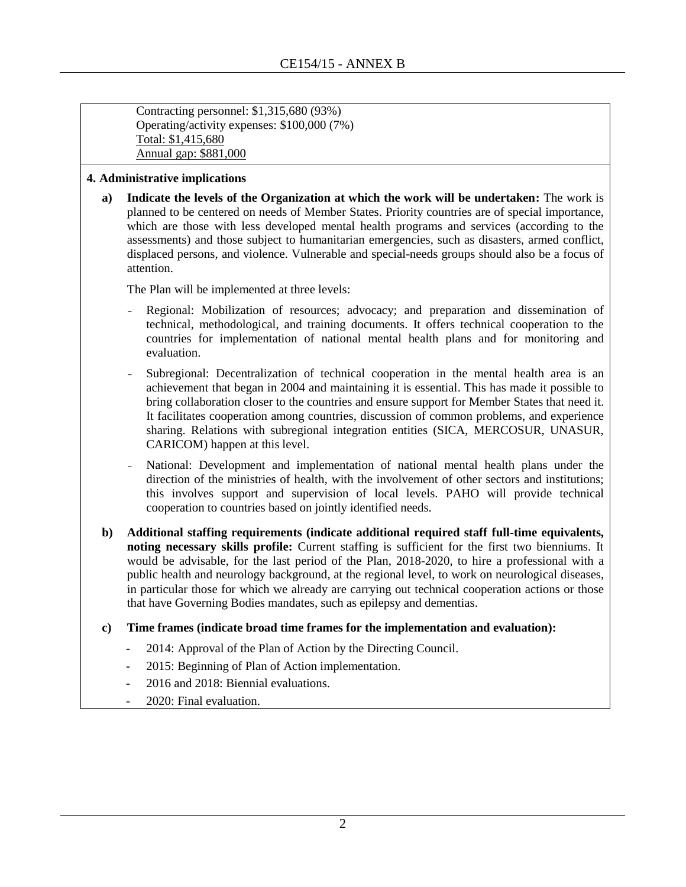Contracting personnel: \$1,315,680 (93%) Operating/activity expenses: \$100,000 (7%) Total: \$1,415,680 Annual gap: \$881,000

#### **4. Administrative implications**

**a) Indicate the levels of the Organization at which the work will be undertaken:** The work is planned to be centered on needs of Member States. Priority countries are of special importance, which are those with less developed mental health programs and services (according to the assessments) and those subject to humanitarian emergencies, such as disasters, armed conflict, displaced persons, and violence. Vulnerable and special-needs groups should also be a focus of attention.

The Plan will be implemented at three levels:

- Regional: Mobilization of resources; advocacy; and preparation and dissemination of technical, methodological, and training documents. It offers technical cooperation to the countries for implementation of national mental health plans and for monitoring and evaluation.
- Subregional: Decentralization of technical cooperation in the mental health area is an achievement that began in 2004 and maintaining it is essential. This has made it possible to bring collaboration closer to the countries and ensure support for Member States that need it. It facilitates cooperation among countries, discussion of common problems, and experience sharing. Relations with subregional integration entities (SICA, MERCOSUR, UNASUR, CARICOM) happen at this level.
- National: Development and implementation of national mental health plans under the direction of the ministries of health, with the involvement of other sectors and institutions; this involves support and supervision of local levels. PAHO will provide technical cooperation to countries based on jointly identified needs.
- **b) Additional staffing requirements (indicate additional required staff full-time equivalents, noting necessary skills profile:** Current staffing is sufficient for the first two bienniums. It would be advisable, for the last period of the Plan, 2018-2020, to hire a professional with a public health and neurology background, at the regional level, to work on neurological diseases, in particular those for which we already are carrying out technical cooperation actions or those that have Governing Bodies mandates, such as epilepsy and dementias.
- **c) Time frames (indicate broad time frames for the implementation and evaluation):** 
	- 2014: Approval of the Plan of Action by the Directing Council.
	- 2015: Beginning of Plan of Action implementation.
	- 2016 and 2018: Biennial evaluations.
	- 2020: Final evaluation.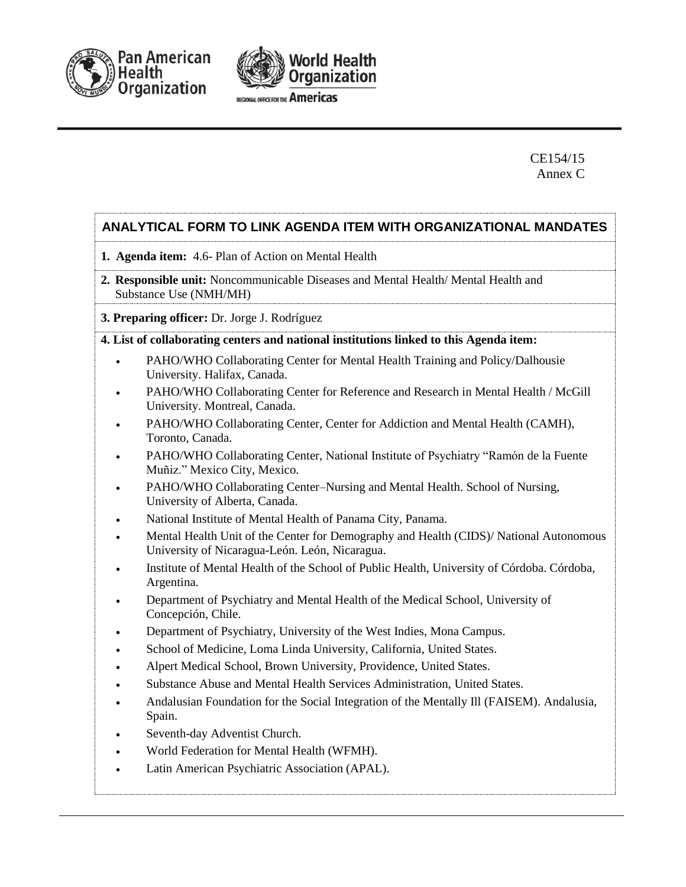



## CE154/15 Annex C

## **ANALYTICAL FORM TO LINK AGENDA ITEM WITH ORGANIZATIONAL MANDATES**

- **1. Agenda item:** 4.6- Plan of Action on Mental Health
- **2. Responsible unit:** Noncommunicable Diseases and Mental Health/ Mental Health and Substance Use (NMH/MH)

#### **3. Preparing officer:** Dr. Jorge J. Rodríguez

#### **4. List of collaborating centers and national institutions linked to this Agenda item:**

- PAHO/WHO Collaborating Center for Mental Health Training and Policy/Dalhousie University. Halifax, Canada.
- PAHO/WHO Collaborating Center for Reference and Research in Mental Health / McGill University. Montreal, Canada.
- PAHO/WHO Collaborating Center, Center for Addiction and Mental Health (CAMH), Toronto, Canada.
- PAHO/WHO Collaborating Center, National Institute of Psychiatry "Ramón de la Fuente Muñiz." Mexico City, Mexico.
- PAHO/WHO Collaborating Center–Nursing and Mental Health. School of Nursing, University of Alberta, Canada.
- National Institute of Mental Health of Panama City, Panama.
- Mental Health Unit of the Center for Demography and Health (CIDS)/ National Autonomous University of Nicaragua-León. León, Nicaragua.
- Institute of Mental Health of the School of Public Health, University of Córdoba. Córdoba, Argentina.
- Department of Psychiatry and Mental Health of the Medical School, University of Concepción, Chile.
- Department of Psychiatry, University of the West Indies, Mona Campus.
- School of Medicine, Loma Linda University, California, United States.
- Alpert Medical School, Brown University, Providence, United States.
- Substance Abuse and Mental Health Services Administration, United States.
- Andalusian Foundation for the Social Integration of the Mentally Ill (FAISEM). Andalusia, Spain.
- Seventh-day Adventist Church.
- World Federation for Mental Health (WFMH).
- Latin American Psychiatric Association (APAL).